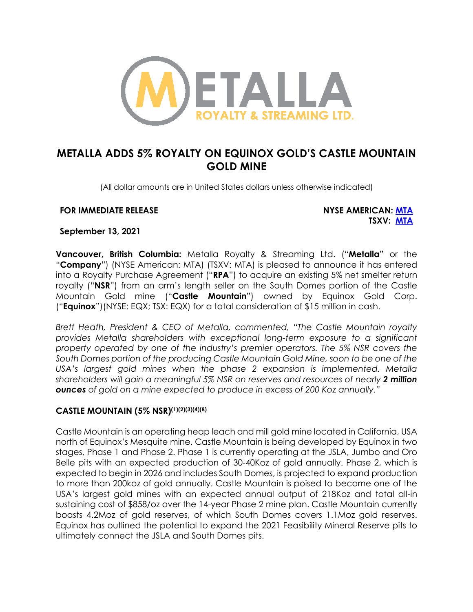

# **METALLA ADDS 5% ROYALTY ON EQUINOX GOLD'S CASTLE MOUNTAIN GOLD MINE**

(All dollar amounts are in United States dollars unless otherwise indicated)

#### **FOR IMMEDIATE RELEASE NYSE AMERICAN: MTA**

**TSXV: MTA**

**September 13, 2021**

**Vancouver, British Columbia:** Metalla Royalty & Streaming Ltd. ("**Metalla**" or the "**Company**") (NYSE American: MTA) (TSXV: MTA) is pleased to announce it has entered into a Royalty Purchase Agreement ("**RPA**") to acquire an existing 5% net smelter return royalty ("**NSR**") from an arm's length seller on the South Domes portion of the Castle Mountain Gold mine ("**Castle Mountain**") owned by Equinox Gold Corp. ("**Equinox**")(NYSE: EQX; TSX: EQX) for a total consideration of \$15 million in cash.

*Brett Heath, President & CEO of Metalla, commented, "The Castle Mountain royalty provides Metalla shareholders with exceptional long-term exposure to a significant property operated by one of the industry's premier operators. The 5% NSR covers the South Domes portion of the producing Castle Mountain Gold Mine, soon to be one of the USA's largest gold mines when the phase 2 expansion is implemented. Metalla shareholders will gain a meaningful 5% NSR on reserves and resources of nearly 2 million ounces of gold on a mine expected to produce in excess of 200 Koz annually."*

#### **CASTLE MOUNTAIN (5% NSR)(1)(2)(3)(4)(8)**

Castle Mountain is an operating heap leach and mill gold mine located in California, USA north of Equinox's Mesquite mine. Castle Mountain is being developed by Equinox in two stages, Phase 1 and Phase 2. Phase 1 is currently operating at the JSLA, Jumbo and Oro Belle pits with an expected production of 30-40Koz of gold annually. Phase 2, which is expected to begin in 2026 and includes South Domes, is projected to expand production to more than 200koz of gold annually. Castle Mountain is poised to become one of the USA's largest gold mines with an expected annual output of 218Koz and total all-in sustaining cost of \$858/oz over the 14-year Phase 2 mine plan. Castle Mountain currently boasts 4.2Moz of gold reserves, of which South Domes covers 1.1Moz gold reserves. Equinox has outlined the potential to expand the 2021 Feasibility Mineral Reserve pits to ultimately connect the JSLA and South Domes pits.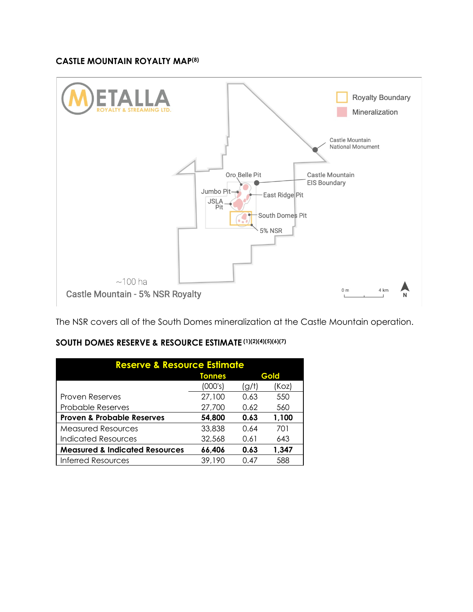#### **CASTLE MOUNTAIN ROYALTY MAP(8)**



The NSR covers all of the South Domes mineralization at the Castle Mountain operation.

| SOUTH DOMES RESERVE & RESOURCE ESTIMATE (1)(2)(4)(5)(6)(7) |
|------------------------------------------------------------|
|                                                            |

| <b>Reserve &amp; Resource Estimate</b>    |               |       |       |  |  |
|-------------------------------------------|---------------|-------|-------|--|--|
|                                           | <b>Tonnes</b> | Gold  |       |  |  |
|                                           | (000's)       | (g/t) | (Koz) |  |  |
| Proven Reserves                           | 27,100        | 0.63  | 550   |  |  |
| <b>Probable Reserves</b>                  | 27,700        | 0.62  | 560   |  |  |
| <b>Proven &amp; Probable Reserves</b>     | 54,800        | 0.63  | 1,100 |  |  |
| <b>Measured Resources</b>                 | 33,838        | 0.64  | 701   |  |  |
| Indicated Resources                       | 32,568        | 0.61  | 643   |  |  |
| <b>Measured &amp; Indicated Resources</b> | 66,406        | 0.63  | 1,347 |  |  |
| <b>Inferred Resources</b>                 | 39,190        | 0.47  | 588   |  |  |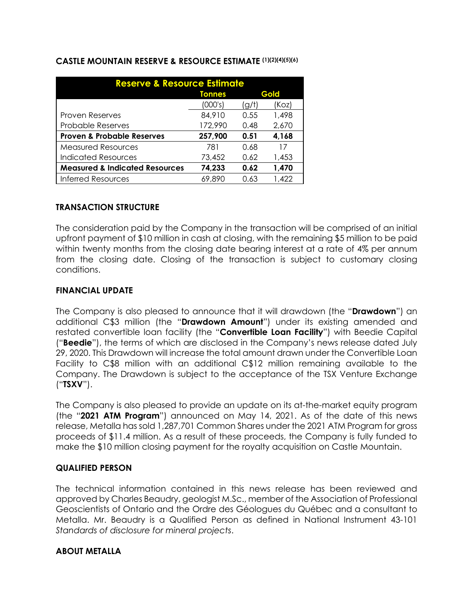| <b>Reserve &amp; Resource Estimate</b>    |               |       |       |  |  |
|-------------------------------------------|---------------|-------|-------|--|--|
|                                           | <b>Tonnes</b> | Gold  |       |  |  |
|                                           | (000's)       | (g/t) | (Koz) |  |  |
| <b>Proven Reserves</b>                    | 84,910        | 0.55  | 1,498 |  |  |
| <b>Probable Reserves</b>                  | 172,990       | 0.48  | 2,670 |  |  |
| <b>Proven &amp; Probable Reserves</b>     | 257,900       | 0.51  | 4,168 |  |  |
| <b>Measured Resources</b>                 | 781           | 0.68  | 17    |  |  |
| Indicated Resources                       | 73,452        | 0.62  | 1,453 |  |  |
| <b>Measured &amp; Indicated Resources</b> | 74,233        | 0.62  | 1,470 |  |  |
| <b>Inferred Resources</b>                 | 69.890        | 0.63  | 1.422 |  |  |

#### **CASTLE MOUNTAIN RESERVE & RESOURCE ESTIMATE (1)(2)(4)(5)(6)**

#### **TRANSACTION STRUCTURE**

The consideration paid by the Company in the transaction will be comprised of an initial upfront payment of \$10 million in cash at closing, with the remaining \$5 million to be paid within twenty months from the closing date bearing interest at a rate of 4% per annum from the closing date. Closing of the transaction is subject to customary closing conditions.

#### **FINANCIAL UPDATE**

The Company is also pleased to announce that it will drawdown (the "**Drawdown**") an additional C\$3 million (the "**Drawdown Amount**") under its existing amended and restated convertible loan facility (the "**Convertible Loan Facility**") with Beedie Capital ("**Beedie**"), the terms of which are disclosed in the Company's news release dated July 29, 2020. This Drawdown will increase the total amount drawn under the Convertible Loan Facility to C\$8 million with an additional C\$12 million remaining available to the Company. The Drawdown is subject to the acceptance of the TSX Venture Exchange ("**TSXV**").

The Company is also pleased to provide an update on its at-the-market equity program (the "**2021 ATM Program**") announced on May 14, 2021. As of the date of this news release, Metalla has sold 1,287,701 Common Shares under the 2021 ATM Program for gross proceeds of \$11.4 million. As a result of these proceeds, the Company is fully funded to make the \$10 million closing payment for the royalty acquisition on Castle Mountain.

# **QUALIFIED PERSON**

The technical information contained in this news release has been reviewed and approved by Charles Beaudry, geologist M.Sc., member of the Association of Professional Geoscientists of Ontario and the Ordre des Géologues du Québec and a consultant to Metalla. Mr. Beaudry is a Qualified Person as defined in National Instrument 43-101 *Standards of disclosure for mineral projects*.

#### **ABOUT METALLA**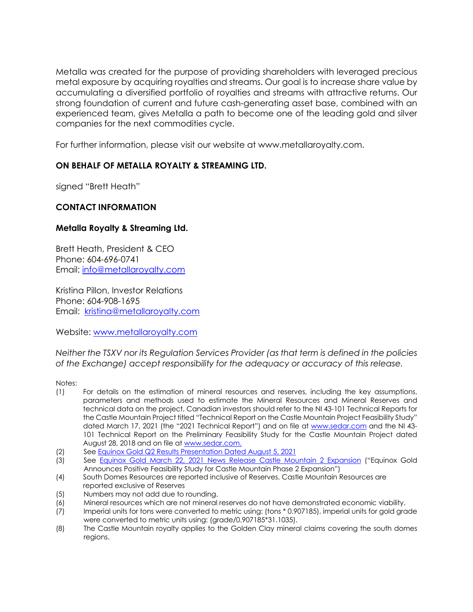Metalla was created for the purpose of providing shareholders with leveraged precious metal exposure by acquiring royalties and streams. Our goal is to increase share value by accumulating a diversified portfolio of royalties and streams with attractive returns. Our strong foundation of current and future cash-generating asset base, combined with an experienced team, gives Metalla a path to become one of the leading gold and silver companies for the next commodities cycle.

For further information, please visit our website at www.metallaroyalty.com.

# **ON BEHALF OF METALLA ROYALTY & STREAMING LTD.**

signed "Brett Heath"

# **CONTACT INFORMATION**

# **Metalla Royalty & Streaming Ltd.**

Brett Heath, President & CEO Phone: 604-696-0741 Email: info@metallaroyalty.com

Kristina Pillon, Investor Relations Phone: 604-908-1695 Email: kristina@metallaroyalty.com

Website: www.metallaroyalty.com

*Neither the TSXV nor its Regulation Services Provider (as that term is defined in the policies of the Exchange) accept responsibility for the adequacy or accuracy of this release.* 

Notes:

- (1) For details on the estimation of mineral resources and reserves, including the key assumptions, parameters and methods used to estimate the Mineral Resources and Mineral Reserves and technical data on the project, Canadian investors should refer to the NI 43-101 Technical Reports for the Castle Mountain Project titled "Technical Report on the Castle Mountain Project Feasibility Study" dated March 17, 2021 (the "2021 Technical Report") and on file at www.sedar.com and the NI 43- 101 Technical Report on the Preliminary Feasibility Study for the Castle Mountain Project dated August 28, 2018 and on file at www.sedar.com.
- (2) See Equinox Gold Q2 Results Presentation Dated August 5, 2021<br>(3) See Equinox Gold March 22, 2021 News Release Castle More
- See Equinox Gold March 22, 2021 News Release Castle Mountain 2 Expansion ("Equinox Gold Announces Positive Feasibility Study for Castle Mountain Phase 2 Expansion")
- (4) South Domes Resources are reported inclusive of Reserves. Castle Mountain Resources are reported exclusive of Reserves
- (5) Numbers may not add due to rounding.
- (6) Mineral resources which are not mineral reserves do not have demonstrated economic viability.
- (7) Imperial units for tons were converted to metric using: (tons \* 0.907185), imperial units for gold grade were converted to metric units using: (grade/0.907185\*31.1035).
- (8) The Castle Mountain royalty applies to the Golden Clay mineral claims covering the south domes regions.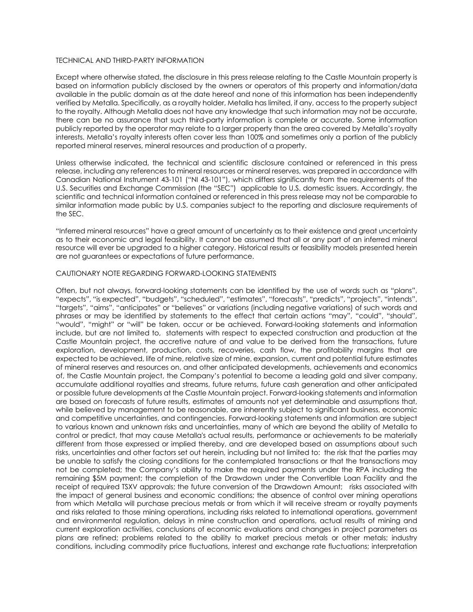#### TECHNICAL AND THIRD-PARTY INFORMATION

Except where otherwise stated, the disclosure in this press release relating to the Castle Mountain property is based on information publicly disclosed by the owners or operators of this property and information/data available in the public domain as at the date hereof and none of this information has been independently verified by Metalla. Specifically, as a royalty holder, Metalla has limited, if any, access to the property subject to the royalty. Although Metalla does not have any knowledge that such information may not be accurate, there can be no assurance that such third-party information is complete or accurate. Some information publicly reported by the operator may relate to a larger property than the area covered by Metalla's royalty interests. Metalla's royalty interests often cover less than 100% and sometimes only a portion of the publicly reported mineral reserves, mineral resources and production of a property.

Unless otherwise indicated, the technical and scientific disclosure contained or referenced in this press release, including any references to mineral resources or mineral reserves, was prepared in accordance with Canadian National Instrument 43-101 ("NI 43-101"), which differs significantly from the requirements of the U.S. Securities and Exchange Commission (the "SEC") applicable to U.S. domestic issuers. Accordingly, the scientific and technical information contained or referenced in this press release may not be comparable to similar information made public by U.S. companies subject to the reporting and disclosure requirements of the SEC.

"Inferred mineral resources" have a great amount of uncertainty as to their existence and great uncertainty as to their economic and legal feasibility. It cannot be assumed that all or any part of an inferred mineral resource will ever be upgraded to a higher category. Historical results or feasibility models presented herein are not guarantees or expectations of future performance.

#### CAUTIONARY NOTE REGARDING FORWARD-LOOKING STATEMENTS

Often, but not always, forward-looking statements can be identified by the use of words such as "plans", "expects", "is expected", "budgets", "scheduled", "estimates", "forecasts", "predicts", "projects", "intends", "targets", "aims", "anticipates" or "believes" or variations (including negative variations) of such words and phrases or may be identified by statements to the effect that certain actions "may", "could", "should", "would", "might" or "will" be taken, occur or be achieved. Forward-looking statements and information include, but are not limited to, statements with respect to expected construction and production at the Castle Mountain project, the accretive nature of and value to be derived from the transactions, future exploration, development, production, costs, recoveries, cash flow, the profitability margins that are expected to be achieved, life of mine, relative size of mine, expansion, current and potential future estimates of mineral reserves and resources on, and other anticipated developments, achievements and economics of, the Castle Mountain project, the Company's potential to become a leading gold and silver company, accumulate additional royalties and streams, future returns, future cash generation and other anticipated or possible future developments at the Castle Mountain project. Forward-looking statements and information are based on forecasts of future results, estimates of amounts not yet determinable and assumptions that, while believed by management to be reasonable, are inherently subject to significant business, economic and competitive uncertainties, and contingencies. Forward-looking statements and information are subject to various known and unknown risks and uncertainties, many of which are beyond the ability of Metalla to control or predict, that may cause Metalla's actual results, performance or achievements to be materially different from those expressed or implied thereby, and are developed based on assumptions about such risks, uncertainties and other factors set out herein, including but not limited to: the risk that the parties may be unable to satisfy the closing conditions for the contemplated transactions or that the transactions may not be completed; the Company's ability to make the required payments under the RPA including the remaining \$5M payment; the completion of the Drawdown under the Convertible Loan Facility and the receipt of required TSXV approvals; the future conversion of the Drawdown Amount; risks associated with the impact of general business and economic conditions; the absence of control over mining operations from which Metalla will purchase precious metals or from which it will receive stream or royalty payments and risks related to those mining operations, including risks related to international operations, government and environmental regulation, delays in mine construction and operations, actual results of mining and current exploration activities, conclusions of economic evaluations and changes in project parameters as plans are refined; problems related to the ability to market precious metals or other metals; industry conditions, including commodity price fluctuations, interest and exchange rate fluctuations; interpretation